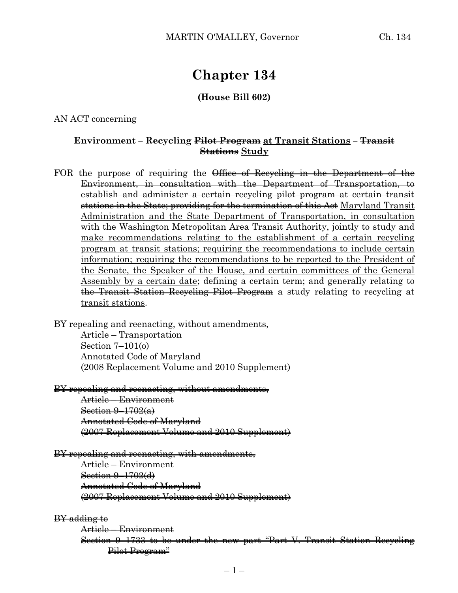# **Chapter 134**

#### **(House Bill 602)**

#### AN ACT concerning

## **Environment – Recycling Pilot Program at Transit Stations – Transit Stations Study**

FOR the purpose of requiring the Office of Recycling in the Department of the Environment, in consultation with the Department of Transportation, to establish and administer a certain recycling pilot program at certain transit stations in the State; providing for the termination of this Act Maryland Transit Administration and the State Department of Transportation, in consultation with the Washington Metropolitan Area Transit Authority, jointly to study and make recommendations relating to the establishment of a certain recycling program at transit stations; requiring the recommendations to include certain information; requiring the recommendations to be reported to the President of the Senate, the Speaker of the House, and certain committees of the General Assembly by a certain date; defining a certain term; and generally relating to the Transit Station Recycling Pilot Program a study relating to recycling at transit stations.

BY repealing and reenacting, without amendments, Article – Transportation Section 7–101(o) Annotated Code of Maryland (2008 Replacement Volume and 2010 Supplement)

### BY repealing and reenacting, without amendments,

Article – Environment Section 9–1702(a) Annotated Code of Maryland (2007 Replacement Volume and 2010 Supplement)

## BY repealing and reenacting, with amendments,

Article – Environment Section 9–1702(d) Annotated Code of Maryland (2007 Replacement Volume and 2010 Supplement)

#### BY adding to

Article – Environment Section 9–1733 to be under the new part "Part V. Transit Station Recycling Pilot Program"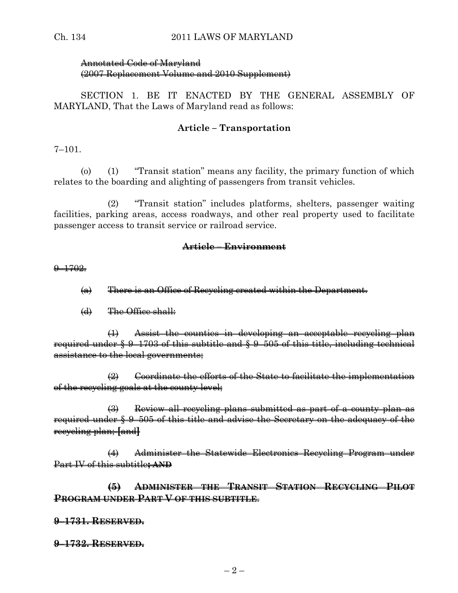## Annotated Code of Maryland (2007 Replacement Volume and 2010 Supplement)

SECTION 1. BE IT ENACTED BY THE GENERAL ASSEMBLY OF MARYLAND, That the Laws of Maryland read as follows:

## **Article – Transportation**

7–101.

(o) (1) "Transit station" means any facility, the primary function of which relates to the boarding and alighting of passengers from transit vehicles.

(2) "Transit station" includes platforms, shelters, passenger waiting facilities, parking areas, access roadways, and other real property used to facilitate passenger access to transit service or railroad service.

## **Article – Environment**

 $9 - 1702.$ 

- (a) There is an Office of Recycling created within the Department.
- $(d)$  The Office shall:

(1) Assist the counties in developing an acceptable recycling plan required under § 9–1703 of this subtitle and § 9–505 of this title, including technical assistance to the local governments;

 $\left( 2\right)$  Coordinate the efforts of the State to facilitate the implementation of the recycling goals at the county level;

(3) Review all recycling plans submitted as part of a county plan as required under § 9–505 of this title and advise the Secretary on the adequacy of the recycling plan; **[**and**]**

(4) Administer the Statewide Electronics Recycling Program under Part IV of this subtitle**; AND**

**(5) ADMINISTER THE TRANSIT STATION RECYCLING PILOT PROGRAM UNDER PART V OF THIS SUBTITLE**.

## **9–1731. RESERVED.**

**9–1732. RESERVED.**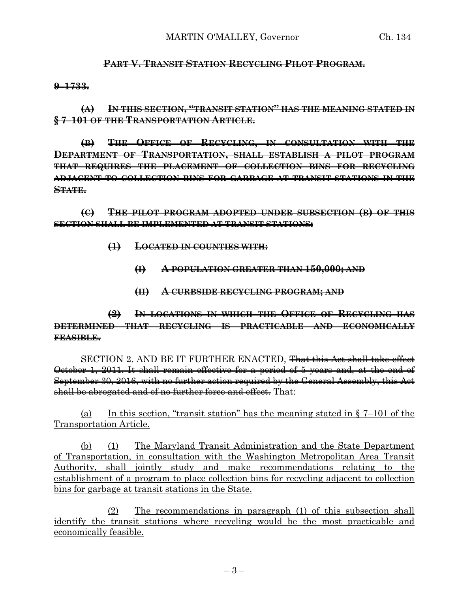## **PART V. TRANSIT STATION RECYCLING PILOT PROGRAM.**

**9–1733.**

**(A) IN THIS SECTION, "TRANSIT STATION" HAS THE MEANING STATED IN § 7–101 OF THE TRANSPORTATION ARTICLE.**

**(B) THE OFFICE OF RECYCLING, IN CONSULTATION WITH THE DEPARTMENT OF TRANSPORTATION, SHALL ESTABLISH A PILOT PROGRAM THAT REQUIRES THE PLACEMENT OF COLLECTION BINS FOR RECYCLING ADJACENT TO COLLECTION BINS FOR GARBAGE AT TRANSIT STATIONS IN THE STATE.**

**(C) THE PILOT PROGRAM ADOPTED UNDER SUBSECTION (B) OF THIS SECTION SHALL BE IMPLEMENTED AT TRANSIT STATIONS:**

- **(1) LOCATED IN COUNTIES WITH:**
	- **(I) A POPULATION GREATER THAN 150,000; AND**
	- **(II) A CURBSIDE RECYCLING PROGRAM; AND**

**(2) IN LOCATIONS IN WHICH THE OFFICE OF RECYCLING HAS DETERMINED THAT RECYCLING IS PRACTICABLE AND ECONOMICALLY FEASIBLE.**

SECTION 2. AND BE IT FURTHER ENACTED, <del>That this Act shall take effect</del> October 1, 2011. It shall remain effective for a period of 5 years and, at the end of September 30, 2016, with no further action required by the General Assembly, this Act shall be abrogated and of no further force and effect. That:

(a) In this section, "transit station" has the meaning stated in  $\S$  7–101 of the Transportation Article.

(b) (1) The Maryland Transit Administration and the State Department of Transportation, in consultation with the Washington Metropolitan Area Transit Authority, shall jointly study and make recommendations relating to the establishment of a program to place collection bins for recycling adjacent to collection bins for garbage at transit stations in the State.

(2) The recommendations in paragraph (1) of this subsection shall identify the transit stations where recycling would be the most practicable and economically feasible.